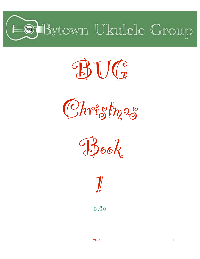



Christmas



 $\boldsymbol{\eta}$ 

※月 \*\*

Ĵ.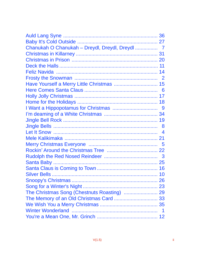| Have Yourself a Merry Little Christmas  15  |  |
|---------------------------------------------|--|
|                                             |  |
|                                             |  |
|                                             |  |
|                                             |  |
|                                             |  |
|                                             |  |
|                                             |  |
|                                             |  |
|                                             |  |
|                                             |  |
|                                             |  |
|                                             |  |
|                                             |  |
|                                             |  |
|                                             |  |
|                                             |  |
|                                             |  |
| The Christmas Song (Chestnuts Roasting)  29 |  |
|                                             |  |
|                                             |  |
|                                             |  |
|                                             |  |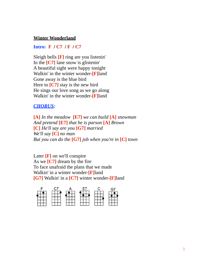### **Winter Wonderland**

### **Intro: F / C7 / F / C7**

Sleigh bells **[F]** ring are you listenin' In the **[C7]** lane snow is glistenin' A beautiful sight were happy tonight Walkin' in the winter wonder-**[F]**land Gone away is the blue bird Here to  $\lceil C7 \rceil$  stay is the new bird He sings our love song as we go along Walkin' in the winter wonder-**[F]**land

### *CHORUS:*

**[A]** *In the meadow* **[E7]** *we can build* **[A]** *snowman And pretend* **[E7]** *that he is parson* **[A]** *Brown* **[C]** *He'll say are you* **[G7]** *married We'll say* **[C]** *no man But you can do the* **[G7]** *job when you're in* **[C]** *town*

Later **[F]** on we'll conspire As we **[C7]** dream by the fire To face unafraid the plans that we made Walkin' in a winter wonder-**[F]**land **[G7]** Walkin' in a **[C7]** winter wonder-**[F]**land

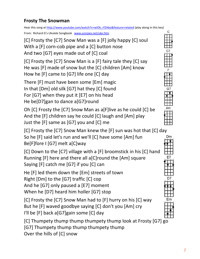## **Frosty The Snowman**

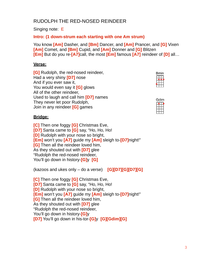## RUDOLPH THE RED-NOSED REINDEER

Singing note: E

## **Intro: (1 down-strum each starting with one Am strum)**

You know **[Am]** Dasher, and **[Bm]** Dancer, and **[Am]** Prancer, and **[G]** Vixen **[Am]** Comet, and **[Bm]** Cupid, and **[Am]** Donner and **[G]** Blitzen **[Em]** But do you re-**[A7]**call, the most **[Em]** famous **[A7]** reindeer of **[D]** all…

### **Verse:**

**[G]** Rudolph, the red-nosed reindeer, Had a very shiny **[D7]** nose And if you ever saw it, You would even say it **[G]** glows All of the other reindeer, Used to laugh and call him **[D7]** names They never let poor Rudolph, Join in any reindeer **[G]** games

| mir |  |  |  |  |  |
|-----|--|--|--|--|--|
|     |  |  |  |  |  |
|     |  |  |  |  |  |
|     |  |  |  |  |  |
|     |  |  |  |  |  |

Gdim

## **Bridge:**

**[C]** Then one foggy **[G]** Christmas Eve, **[D7]** Santa came to **[G]** say, "Ho, Ho, Ho! **[D]** Rudolph with your nose so bright, **[Em]** won't you **[A7]** guide my **[Am]** sleigh to-**[D7]**night!" **[G]** Then all the reindeer loved him, As they shouted out with **[D7]** glee "Rudolph the red-nosed reindeer, You'll go down in history-**[G]**y **[G]**

(kazoos and ukes only – do a verse) **[G][D7][G][D7][G]**

**[C]** Then one foggy **[G]** Christmas Eve, **[D7]** Santa came to **[G]** say, "Ho, Ho, Ho! **[D]** Rudolph with your nose so bright, **[Em]** won't you **[A7]** guide my **[Am]** sleigh to-**[D7]**night!" **[G]** Then all the reindeer loved him, As they shouted out with **[D7]** glee "Rudolph the red-nosed reindeer, You'll go down in history-**[G]**y **[D7]** You'll go down in his-tor-**[G]**y **[G][Gdim][G]** 

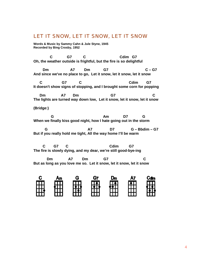### LET IT SNOW, LET IT SNOW, LET IT SNOW

**Words & Music by Sammy Cahn & Jule Styne, 1945 Recorded by Bing Crosby, 1952**

 **C G7 C Cdim G7 Oh, the weather outside is frightful, but the fire is so delightful Dm A7 Dm G7 C – G7 And since we've no place to go, Let it snow, let it snow, let it snow C** G7 C Cdim G7 **It doesn't show signs of stopping, and I brought some corn for popping Dm A7 Dm G7 C The lights are turned way down low, Let it snow, let it snow, let it snow (Bridge:)**

 **G Am D7 G When we finally kiss good night, how I hate going out in the storm**

 **G A7 D7 G – Bbdim – G7 But if you really hold me tight, All the way home I'll be warm**

 **C G7 C Cdim G7 The fire is slowly dying, and my dear, we're still good-bye-ing** 

 **Dm A7 Dm G7 C But as long as you love me so. Let it snow, let it snow, let it snow**

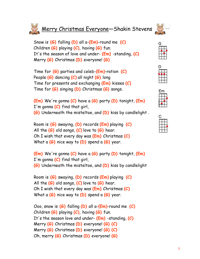# Merry Christmas Everyone-Shakin Stevens

Snow is  $(G)$  falling  $(D)$  all a- $(Em)$ -round me  $(C)$ Children  $(G)$  playing  $(C)$ , having  $(G)$  fun. It's the season of love and under- $(\text{Em})$ -standing,  $(C)$ Merry  $(G)$  Christmas  $(D)$  everyone!  $(G)$ 

Time for  $(G)$  parties and celeb- $(Em)$ -ration  $(C)$ People  $(G)$  dancing  $(C)$  all night  $(G)$  long Time for presents and exchanging (Em) kisses (C) Time for  $(G)$  singing  $(D)$  Christmas  $(G)$  songs.

 $E(m)$  We're gonna  $(C)$  have a  $(G)$  party  $(D)$  tonight,  $E(m)$ I'm gonna  $(C)$  find that girl, (G) Underneath the misteltoe, and (D) kiss by candlelight.

Room is  $(G)$  swaying,  $(D)$  records  $(Em)$  playing  $(C)$ All the  $(G)$  old songs,  $(C)$  love to  $(G)$  hear. Oh I wish that every day was  $(Em)$  Christmas  $(C)$ What a  $(G)$  nice way to  $(D)$  spend a  $(G)$  year.

 $(\mathsf{Em})$  We're gonna  $(\mathsf{C})$  have a  $(\mathsf{G})$  party  $(\mathsf{D})$  tonight,  $(\mathsf{Em})$ I'm gonna  $(C)$  find that girl, (G) Underneath the misteltoe, and (D) kiss by candlelight

Room is (G) swaying, (D) records (Em) playing (C) All the  $(G)$  old songs,  $(C)$  love to  $(G)$  hear. Oh I wish that every day was  $(\text{Em})$  Christmas  $(C)$ What a  $(G)$  nice way to  $(D)$  spend a  $(G)$  year.

Ooo, snow is  $(G)$  falling  $(D)$  all a- $(Em)$ -round me  $(C)$ Children  $(G)$  playing  $(C)$ , having  $(G)$  fun. It's the season love and under- $(Em)$  -standing,  $(C)$ Merry  $(G)$  Christmas  $(D)$  everyone!  $(G)$   $(C)$ Merry (G) Christmas (D) everyone! (G) (C) Oh, merry (G) Christmas (D) everyone! (G)









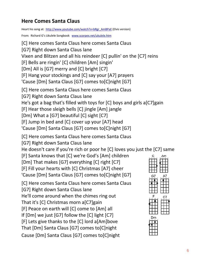# **Here Comes Santa Claus**

Heart his song at: http://www.youtube.com/watch?v=bRgr\_AmBPaE (Elvis version)

From: Richard G's Ukulele Songbook www.scorpex.net/ukulele.htm

[C] Here comes Santa Claus here comes Santa Claus [G7] Right down Santa Claus lane Vixen and Blitzen and all his reindeer [C] pullin' on the [C7] reins [F] Bells are ringin' [C] children [Am] singin' [Dm] All is [G7] merry and [C] bright [C7] [F] Hang your stockings and [C] say your [A7] prayers 'Cause [Dm] Santa Claus [G7] comes to [C] night [G7] [C] Here comes Santa Claus here comes Santa Claus [G7] Right down Santa Claus lane He's got a bag that's filled with toys for [C] boys and girls a [C7] gain [F] Hear those sleigh bells [C] jingle [Am] jangle [Dm] What a [G7] beautiful [C] sight [C7] [F] Jump in bed and [C] cover up your [A7] head 'Cause [Dm] Santa Claus [G7] comes to [C] night [G7] [C] Here comes Santa Claus here comes Santa Claus [G7] Right down Santa Claus lane He doesn't care if you're rich or poor he [C] loves you just the [C7] same [F] Santa knows that [C] we're God's [Am] children [Dm] That makes [G7] everything [C] right [C7] [F] Fill your hearts with [C] Christmas [A7] cheer 'Cause [Dm] Santa Claus [G7] comes to [C] night [G7] [C] Here comes Santa Claus here comes Santa Claus [G7] Right down Santa Claus lane He'll come around when the chimes ring out That it's [C] Christmas morn a[C7]gain [F] Peace on earth will [C] come to [Am] all If [Dm] we just [G7] follow the [C] light [C7] [F] Lets give thanks to the [C] lord a[Am]bove That [Dm] Santa Claus [G7] comes to [C] night Cause [Dm] Santa Claus [G7] comes to [C] night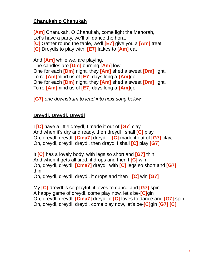## **Chanukah o Chanukah**

**[Am]** Chanukah, O Chanukah, come light the Menorah, Let's have a party, we'll all dance the hora, **[C]** Gather round the table, we'll **[E7]** give you a **[Am]** treat, **[C]** Dreydls to play with, **[E7]** latkes to **[Am]** eat

And **[Am]** while we, are playing, The candles are **[Dm]** burning **[Am]** low, One for each **[Dm]** night, they **[Am]** shed a sweet **[Dm]** light, To re-**[Am]**mind us of **[E7]** days long a-**[Am]**go One for each **[Dm]** night, they **[Am]** shed a sweet **[Dm]** light, To re-**[Am]**mind us of **[E7]** days long a-**[Am]**go

**[G7]** *one downstrum to lead into next song below:*

## **Dreydl, Dreydl, Dreydl**

I **[C]** have a little dreydl, I made it out of **[G7]** clay And when it's dry and ready, then dreydl I shall **[C]** play Oh, dreydl, dreydl, **[Cma7]** dreydl, I **[C]** made it out of **[G7]** clay, Oh, dreydl, dreydl, dreydl, then dreydl I shall **[C]** play **[G7]**

It **[C]** has a lovely body, with legs so short and **[G7]** thin And when it gets all tired, it drops and then I **[C]** win Oh, dreydl, dreydl, **[Cma7]** dreydl, with **[C]** legs so short and **[G7]** thin,

Oh, dreydl, dreydl, dreydl, it drops and then I **[C]** win **[G7]**

My **[C]** dreydl is so playful, it loves to dance and **[G7]** spin A happy game of dreydl, come play now, let's be-**[C]**gin Oh, dreydl, dreydl, **[Cma7]** dreydl, it **[C]** loves to dance and **[G7]** spin, Oh, dreydl, dreydl, dreydl, come play now, let's be-**[C]**gin **[G7] [C]**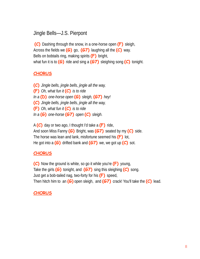## Jingle Bells—J.S. Pierpont

**(C)** Dashing through the snow, in a one-horse open **(F)** sleigh, Across the fields we **(G)** go, **(G7)** laughing all the **(C)** way. Bells on bobtails ring, making spirits **(F)** bright, what fun it is to **(G)** ride and sing a **(G7)** sleighing song **(C)** tonight.

## **CHORUS**

- **(C)** *Jingle bells, jingle bells, jingle all the way,*
- **(F)** *Oh, what fun it* **(C)** *is to ride*
- *In a* **(D)** *one-horse open* **(G)** *sleigh,* **(G7)** *hey!*
- **(C)** *Jingle bells, jingle bells, jingle all the way,*
- **(F)** *Oh, what fun it* **(C)** *is to ride*
- *In a* **(G)** *one-horse* **(G7)** *open* **(C)** *sleigh.*

A **(C)** day or two ago, I thought I'd take a **(F)** ride, And soon Miss Fanny **(G)** Bright, was **(G7)** seated by my **(C)** side. The horse was lean and lank, misfortune seemed his **(F)** lot, He got into a **(G)** drifted bank and **(G7)** we, we got up **(C)** sot.

## **CHORUS**

**(C)** Now the ground is white, so go it while you're **(F)** young, Take the girls **(G)** tonight, and **(G7)** sing this sleighing **(C)** song. Just get a bob-tailed nag, two-forty for his **(F)** speed, Then hitch him to an **(G)** open sleigh, and **(G7)** crack! You'll take the **(C)** lead.

## **CHORUS**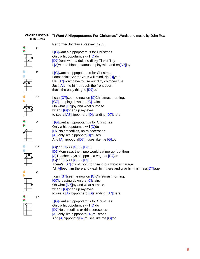| <b>CHORDS USED IN</b><br><b>THIS SONG</b> |             | "I Want A Hippopotamus For Christmas" Words and music by John Rox                                                                                                                                                                                                                                                         |  |  |  |  |
|-------------------------------------------|-------------|---------------------------------------------------------------------------------------------------------------------------------------------------------------------------------------------------------------------------------------------------------------------------------------------------------------------------|--|--|--|--|
| л<br>G                                    |             | Performed by Gayla Peevey (1953)                                                                                                                                                                                                                                                                                          |  |  |  |  |
|                                           |             | I [G] want a hippopotamus for Christmas<br>Only a hippopotamus will [D]do<br>[D7] Don't want a doll, no dinky Tinker Toy<br>I [A] want a hippopotamus to play with and en <sup>[D7]</sup> joy                                                                                                                             |  |  |  |  |
| 00€                                       | D           | I [G] want a hippopotamus for Christmas<br>I don't think Santa Claus will mind, do [D]you?<br>He [D7] won't have to use our dirty chimney flue<br>Just [A]bring him through the front door,<br>that's the easy thing to [D7]do                                                                                            |  |  |  |  |
|                                           | D7          | I can [G7] see me now on [C] Christmas morning,<br>[G7] creeping down the [C] stairs<br>Oh what [D7]joy and what surprise<br>when I [G]open up my eyes<br>to see a [A7] hippo hero [D] standing [D7] there                                                                                                                |  |  |  |  |
| M                                         | A           | I [G] want a hippopotamus for Christmas<br>Only a hippopotamus will [D]do<br>[D7]No crocodiles, no rhinoceroses<br>[A]I only like hippopota[D]muses<br>And [A]hippopota[D7]muses like me [G]too                                                                                                                           |  |  |  |  |
|                                           | G7          | [G]/ / [G] / / [G] / / [D] / / /<br>[D7] Mom says the hippo would eat me up, but then<br>[A]Teacher says a hippo is a vegeteri <sup>[D7]</sup> an<br>[G]/ / [G] / / [G] / / [D] / / /<br>There's [D7] lots of room for him in our two-car garage<br>I'd [A]feed him there and wash him there and give him his mass[D7]age |  |  |  |  |
|                                           | $\mathsf C$ | I can [G7] see me now on [C] Christmas morning,<br>[G7] creeping down the [C] stairs<br>Oh what [D7]joy and what surprise<br>when $\lfloor \text{G} \rfloor$ open up my eyes<br>to see a [A7] hippo hero [D] standing [D7] there                                                                                          |  |  |  |  |
|                                           | A7          | I [G] want a hippopotamus for Christmas<br>Only a hippopotamus will [D]do<br>[D7]No crocodiles or rhinoceroseses<br>[A]I only like hippopota[D7]museses<br>And [A]hippopota[D7]muses like me [G]too!                                                                                                                      |  |  |  |  |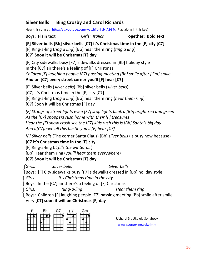#### **Silver Bells Bing Crosby and Carol Richards**

Hear this song at: http://au.youtube.com/watch?v=jiylxtASG4c (Play along in this key)

Boys: Plain text Girls: Italics **Together: Bold text** 

[F] Silver bells [Bb] silver bells [C7] it's Christmas time in the [F] city [C7]

[F] Ring-a-ling (ring a ling) [Bb] hear them ring (ting a ling)

## [C7] Soon it will be Christmas [F] day

[F] City sidewalks busy [F7] sidewalks dressed in [Bb] holiday style In the [C7] air there's a feeling of [F] Christmas Children [F] laughing people [F7] passing meeting [Bb] smile after [Gm] smile

## And on [C7] every street corner you'll [F] hear [C7]

[F] Silver bells (silver bells) [Bb] silver bells (silver bells)

[C7] It's Christmas time in the [F] city [C7]

[F] Ring-a-ling (ring a ling) [Bb] hear them ring (hear them ring)

[C7] Soon it will be Christmas [F] day

[F] Strings of street lights even [F7] stop lights blink a [Bb] bright red and green As the [C7] shoppers rush home with their [F] treasures Hear the [F] snow crush see the [F7] kids rush this is [Bb] Santa's big day And a[C7]bove all this bustle you'll [F] hear [C7]

[F] Silver bells (The corner Santa Claus) [Bb] silver bells (is busy now because)

## [C7 It's Christmas time in the [F] city

[F] Ring-a-ling (it fills the winter air)

[Bb] Hear them ring (you'll hear them everywhere)

## [C7] Soon it will be Christmas [F] day

Girls: Silver bells Silver bells

Boys: [F] City sidewalks busy [F7] sidewalks dressed in [Bb] holiday style

Girls: It's Christmas time in the city

Boys In the [C7] air there's a feeling of [F] Christmas

Girls: Ring-a-ling Hear them ring

Boys: Children [F] laughing people [F7] passing meeting [Bb] smile after smile Very [C7] soon it will be Christmas [F] day



Richard G's Ukulele Songbook www.scorpex.net/uke.htm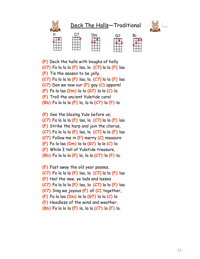

(F) Deck the halls with boughs of holly (C7) Fa la la la (F) laa, la (C7) la la (F) laa (F) Tis the season to be jolly, (C7) Fa la la la (F) laa, la (C7) la la (F) laa (C7) Don we now our (F) gay (C) apparel (F) Fa la laa (Dm) la la (G7) la la (C) la (F) Troll the ancient Yuletide carol (Bb) Fa la la la (F) la, la la (C7) la (F) la.

(F) See the blazing Yule before us, (C7) Fa la la la (F) laa, la (C7) la la (F) laa (F) Strike the harp and join the chorus, (C7) Fa la la la (F) laa, la (C7) la la (F) laa  $(C7)$  Follow me in  $(F)$  merry  $(C)$  measure (F) Fa la laa (Dm) la la (G7) la la (C) la (F) While I tell of Yuletide treasure, (Bb) Fa la la la (F) la, la la (C7) la (F) la.

(F) Fast away the old year passes, (C7) Fa la la la (F) laa, la (C7) la la (F) laa (F) Hail the new, ye lads and lasses (C7) Fa la la la (F) laa, la (C7) la la (F) laa (C7) Sing we joyous (F) all (C) together, (F) Fa la laa (Dm) la la (G7) la la (C) la (F) Heedless of the wind and weather, (Bb) Fa la la la (F) la, la la (C7) la (F) la.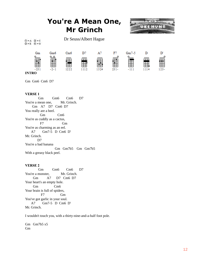# You're A Mean One, **Mr Grinch**



 $\begin{array}{ccc} \textcircled{1} = \text{A} & \textcircled{3} = \text{C} \\ \textcircled{2} = \text{E} & \textcircled{4} = \text{G} \end{array}$ 

Dr Seuss/Albert Hague



| Gm     |              | <b>Smf</b> |     |      | F7      | Gm7-5 |      |      |
|--------|--------------|------------|-----|------|---------|-------|------|------|
| 目      | $\circ$<br>Ē |            | ≖   |      | ŦŦ      |       | ∎    | ڡ    |
| $-231$ | $-2-1$       | 1222<br>   | 112 | 1324 | $231 -$ | -111  | 1114 | 123- |

**INTRO** 

Gm Gm6 Cm6 D7

### **VERSE1**

Gm Gm6 Cm6 D7 You're a mean one, Mr. Grinch. Gm A7 D7 Cm6 D7 You really are a heel. Gm Cm6 You're as cuddly as a cactus, F7 Gm You're as charming as an eel. A7 Gm7-5 D Cm6 D' Mr. Grinch. D<sub>7</sub> You're a bad banana Gm Gm7b5 Gm Gm7b5 With a greasy black peel.

### **VERSE 2**

Gm Gm6 Cm6 D7 You're a monster. Mr. Grinch. Gm A7 D7 Cm6 D7 Your heart's an empty hole. Gm Cm6 Your brain is full of spiders, F7 Gm You've got garlic in your soul. A7 Gm7-5 D Cm6 D' Mr. Grinch.

I wouldn't touch you, with a thirty-nine-and-a-half foot pole.

Gm Gm7b5 x5 Gm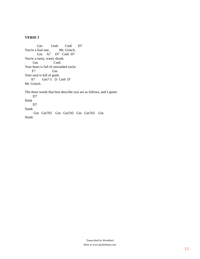#### **VERSE 3**

Gm Gm6 Cm6 D7 You're a foul one, Mr. Grinch. Gm A7 D7 Cm6 D7 You're a nasty, wasty skunk. Gm Cm6 Your heart is full of unwashed socks F7 Gm Your soul is full of gunk. A7 Gm7-5 D Cm6 D' Mr. Grinch. The three words that best describe you are as follows, and I quote: D<sub>7</sub> Stink D<sub>7</sub> Stank Gm Gm7b5 Gm Gm7b5 Gm Gm7b5 Gm Stunk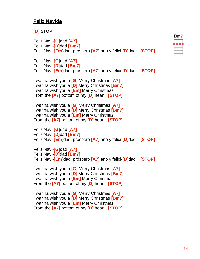## **Feliz Navida**

## **[D] STOP**

Feliz Navi-**[G]**dad **[A7]** Feliz Navi-**[D]**dad **[Bm7]** Feliz Navi-**[Em]**dad, próspero **[A7]** ano y felici-**[D]**dad **[STOP]**

Feliz Navi-**[G]**dad **[A7]** Feliz Navi-**[D]**dad **[Bm7]** Feliz Navi-**[Em]**dad, próspero **[A7]** ano y felici-**[D]**dad **[STOP]**

I wanna wish you a **[G]** Merry Christmas **[A7]** I wanna wish you a **[D]** Merry Christmas **[Bm7]** I wanna wish you a **[Em]** Merry Christmas From the **[A7]** bottom of my **[D]** heart **[STOP]**

I wanna wish you a **[G]** Merry Christmas **[A7]** I wanna wish you a **[D]** Merry Christmas **[Bm7]** I wanna wish you a **[Em]** Merry Christmas From the **[A7]** bottom of my **[D]** heart **[STOP]**

Feliz Navi-**[G]**dad **[A7]** Feliz Navi-**[D]**dad **[Bm7]** Feliz Navi-**[Em]**dad, próspero **[A7]** ano y felici-**[D]**dad **[STOP]**

Feliz Navi-**[G]**dad **[A7]** Feliz Navi-**[D]**dad **[Bm7]** Feliz Navi-**[Em]**dad, próspero **[A7]** ano y felici-**[D]**dad **[STOP]**

I wanna wish you a **[G]** Merry Christmas **[A7]** I wanna wish you a **[D]** Merry Christmas **[Bm7]** I wanna wish you a **[Em]** Merry Christmas From the **[A7]** bottom of my **[D]** heart **[STOP]**

I wanna wish you a **[G]** Merry Christmas **[A7]** I wanna wish you a **[D]** Merry Christmas **[Bm7]** I wanna wish you a **[Em]** Merry Christmas From the **[A7]** bottom of my **[D]** heart **[STOP]**

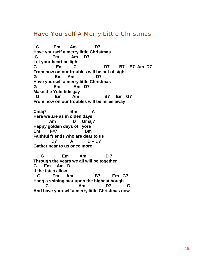## Have Yourself A Merry Little Christmas

 **G Em Am D7 Have yourself a merry little Christmas G Em Am D7 Let your heart be light G Em C D7 B7 E7 Am D7 From now on our troubles will be out of sight G Em Am D7 Have yourself a merry little Christmas G Em Am D7 Make the Yule-tide gay G Em Am B7 Em G7 From now on our troubles will be miles away Cmaj7 Bm A Here we are as in olden days Am D Gmaj7 Happy golden days of yore Em F#7 Bm Faithful friends who are dear to us D7 A D – D7 Gather near to us once more G Em Am D 7 Through the years we all will be together G Em Am D If the fates allow G Em Am B7 Em G7 Hang a shining star upon the highest bough C Am D7 G And have yourself a merry little Christmas now**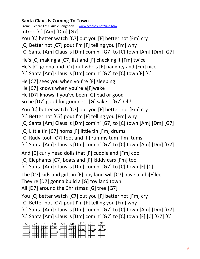## **Santa Claus Is Coming To Town**

From: Richard G's Ukulele Songbook www.scorpex.net/uke.htm Intro: [C] [Am] [Dm] [G7] You [C] better watch [C7] out you [F] better not [Fm] cry [C] Better not [C7] pout I'm [F] telling you [Fm] why [C] Santa [Am] Claus is [Dm] comin' [G7] to [C] town [Am] [Dm] [G7] He's [C] making a [C7] list and [F] checking it [Fm] twice He's [C] gonna find [C7] out who's [F] naughty and [Fm] nice [C] Santa [Am] Claus is [Dm] comin' [G7] to [C] town[F] [C] He [C7] sees you when you're [F] sleeping He [C7] knows when you're a[F] wake He [D7] knows if you've been [G] bad or good So be [D7] good for goodness [G] sake [G7] Oh! You [C] better watch [C7] out you [F] better not [Fm] cry [C] Better not [C7] pout I'm [F] telling you [Fm] why [C] Santa [Am] Claus is [Dm] comin' [G7] to [C] town [Am] [Dm] [G7] [C] Little tin [C7] horns [F] little tin [Fm] drums [C] Rudy-toot-[C7] toot and [F] rummy tum [Fm] tums [C] Santa [Am] Claus is [Dm] comin' [G7] to [C] town [Am] [Dm] [G7] And [C] curly head dolls that [F] cuddle and [Fm] coo [C] Elephants [C7] boats and [F] kiddy cars [Fm] too [C] Santa [Am] Claus is [Dm] comin' [G7] to [C] town [F] [C] The [C7] kids and girls in [F] boy land will [C7] have a jubi[F] lee They're [D7] gonna build a [G] toy land town All [D7] around the Christmas [G] tree [G7] You [C] better watch [C7] out you [F] better not [Fm] cry [C] Better not [C7] pout I'm [F] telling you [Fm] why [C] Santa [Am] Claus is [Dm] comin' [G7] to [C] town [Am] [Dm] [G7] [C] Santa [Am] Claus is [Dm] comin' [G7] to [C] town [F] [C] [G7] [C] D7  $\mathsf{G}$  $F$ Fm Am **Dm** G7  $C7$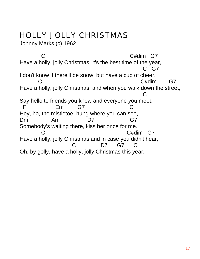# HOLLY JOLLY CHRISTMAS

Johnny Marks (c) 1962

C C<sub>#dim</sub> G7 Have a holly, jolly Christmas, it's the best time of the year, C - G7 I don't know if there'll be snow, but have a cup of cheer. C CHOIC CHOICHES CHOICHES CHOICHES CHOICHES CHOICHES CHOICHES CHOICHES CHOICHES CHOICHES CHOICHES CHOICHES CHO Have a holly, jolly Christmas, and when you walk down the street, **C** Contact the Contact of the Contact of the Contact of the Contact of the Contact of the Contact of the Contact of the Contact of the Contact of the Contact of the Contact of the Contact of the Contact of the Contact of Say hello to friends you know and everyone you meet. F Em G7 C Hey, ho, the mistletoe, hung where you can see, Dm Am D7 G7 Somebody's waiting there, kiss her once for me. C#dim G7 Have a holly, jolly Christmas and in case you didn't hear, C D7 G7 C Oh, by golly, have a holly, jolly Christmas this year.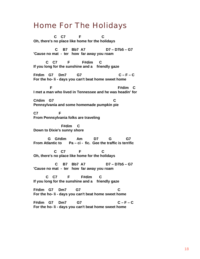# Home For The Holidays

 **C C7 F C Oh, there's no place like home for the holidays C B7 Bb7 A7 D7 – D7b5 – G7 'Cause no mat - ter how far away you roam C C7 F F#dim C If you long for the sunshine and a friendly gaze F#dim G7 Dm7 G7 C – F – C For the ho- li - days you can't beat home sweet home F** F F#dim C **I met a man who lived in Tennessee and he was headin' for C#dim G7 C Pennsylvania and some homemade pumpkin pie C7 F From Pennsylvania folks are traveling F#dim C Down to Dixie's sunny shore G G#dim Am D7 G G7 From Atlantic to Pa – ci - fic. Gee the traffic is terrific C C7 F C Oh, there's no place like home for the holidays C B7 Bb7 A7 D7 – D7b5 – G7 'Cause no mat - ter how far away you roam C C7 F F#dim C If you long for the sunshine and a friendly gaze F#dim G7 Dm7 G7 C For the ho- li - days you can't beat home sweet home F#dim G7 Dm7 G7 C – F – C For the ho- li - days you can't beat home sweet home**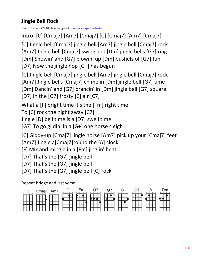# **Jingle Bell Rock**

From: Richard G's Ukulele Songbook vww.scorpex.net/uke.htm

Intro: [C] [Cmaj7] [Am7] [Cmaj7] [C] [Cmaj7] [Am7] [Cmaj7]

[C] Jingle bell [Cmaj7] jingle bell [Am7] jingle bell [Cmaj7] rock [Am7] Jingle bell [Cmaj7] swing and [Dm] jingle bells [G7] ring [Dm] Snowin' and [G7] blowin' up [Dm] bushels of [G7] fun [D7] Now the jingle hop [G+] has begun

[C] Jingle bell [Cmaj7] jingle bell [Am7] jingle bell [Cmaj7] rock [Am7] Jingle bells [Cmaj7] chime in [Dm] jingle bell [G7] time [Dm] Dancin' and [G7] prancin' in [Dm] jingle bell [G7] square [D7] In the [G7] frosty [C] air [C7]

What a [F] bright time it's the [Fm] right time

To [C] rock the night away [C7]

Jingle [D] bell time is a [D7] swell time

[G7] To go glidin' in a [G+] one horse sleigh

[C] Giddy-up [Cmaj7] jingle horse [Am7] pick up your [Cmaj7] feet [Am7] Jingle a[Cmaj7]round the [A] clock

[F] Mix and mingle in a [Fm] jinglin' beat

[D7] That's the [G7] jingle bell

[D7] That's the [G7] jingle bell

[D7] That's the [G7] jingle bell [C] rock

Repeat bridge and last verse

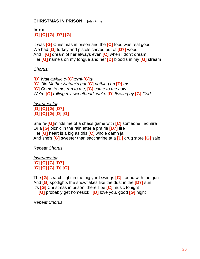### **CHRISTMAS IN PRISON** John Prine

### **Intro: [G] [C] [G] [D7] [G]**

It was **[G]** Christmas in prison and the **[C]** food was real good We had **[G]** turkey and pistols carved out of **[D7]** wood And I **[G]** dream of her always even **[C]** when I don't dream Her **[G]** name's on my tongue and her **[D]** blood's in my **[G]** stream

### *Chorus:*

**[D]** *Wait awhile e-***[C]***terni-***[G]***ty* **[C]** *Old Mother Nature's got* **[G]** *nothing on* **[D]** *me* **[G]** *Come to me, run to me,* **[C]** *come to me now We're* **[G]** *rolling my sweetheart, we're* **[D]** *flowing by* **[G]** *God*

### *Instrumental***: [G] [C] [G] [D7] [G] [C] [G] [D] [G]**

She re-**[G]**minds me of a chess game with **[C]** someone I admire Or a **[G]** picnic in the rain after a prairie **[D7]** fire Her **[G]** heart is a big as this **[C]** whole damn jail And she's **[G]** sweeter than saccharine at a **[D]** drug store **[G]** sale

### *Repeat Chorus*

### *Instrumental***: [G] [C] [G] [D7] [G] [C] [G] [D] [G]**

The **[G]** search light in the big yard swings **[C]** 'round with the gun And **[G]** spotlights the snowflakes like the dust in the **[D7]** sun It's **[G]** Christmas in prison, there'll be **[C]** music tonight I'll **[G]** probably get homesick I **[D]** love you, good **[G]** night

*Repeat Chorus*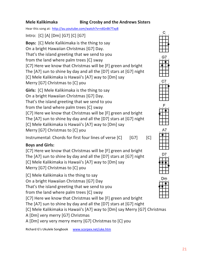### Mele Kalikimaka **Bing Crosby and the Andrews Sisters** Hear this song at: http://au.youtube.com/watch?v=rdGnBt7Txy8

Intro: [C] [A] [Dm] [G7] [C] [G7] **Boys:** [C] Mele Kalikimaka is the thing to say On a bright Hawaiian Christmas [G7] Day. That's the island greeting that we send to you from the land where palm trees [C] sway [C7] Here we know that Christmas will be [F] green and bright The [A7] sun to shine by day and all the [D7] stars at [G7] night [C] Mele Kalikimaka is Hawaii's [A7] way to [Dm] say Merry [G7] Christmas to [C] you **Girls:** [C] Mele Kalikimaka is the thing to say On a bright Hawaiian Christmas [G7] Day. That's the island greeting that we send to you from the land where palm trees [C] sway [C7] Here we know that Christmas will be [F] green and bright The [A7] sun to shine by day and all the [D7] stars at [G7] night [C] Mele Kalikimaka is Hawaii's [A7] way to [Dm] say Merry [G7] Christmas to [C] you  $|C|$ 

Instrumental: Chords for first four lines of verse [C]  $[G7]$ 

## **Boys and Girls:**

[C7] Here we know that Christmas will be [F] green and bright The [A7] sun to shine by day and all the [D7] stars at [G7] night [C] Mele Kalikimaka is Hawaii's [A7] way to [Dm] say Merry [G7] Christmas to [C] you

[C] Mele Kalikimaka is the thing to say

On a bright Hawaiian Christmas [G7] Day

That's the island greeting that we send to you

from the land where palm trees [C] sway

[C7] Here we know that Christmas will be [F] green and bright

The [A7] sun to shine by day and all the [D7] stars at [G7] night

[C] Mele Kalikimaka is Hawaii's [A7] way to [Dm] say Merry [G7] Christmas

A [Dm] very merry [G7] Christmas

A [Dm] very very merry merry [G7] Christmas to [C] you







| n<br>Ė |  |  |  |  |  |
|--------|--|--|--|--|--|
|        |  |  |  |  |  |
|        |  |  |  |  |  |
|        |  |  |  |  |  |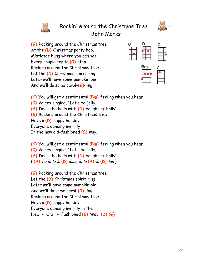

Rockin' Around the Christmas Tree -John Marks



(G) Rocking around the Christmas tree At the  $(D)$  Christmas party hop. Mistletoe hung where you can see Every couple try to  $(G)$  stop. Rocking around the Christmas tree Let the  $(D)$  Christmas spirit ring Later we'll have some pumpkin pie And we'll do some carol- $(G)$ -ling.



(C) You will get a sentimental (Bm) feeling when you hear (C) Voices singing, 'Let's be jolly, (A) Deck the halls with (D) boughs of holly'. (G) Rocking around the Christmas tree Have a (D) happy holiday. Everyone dancing merrily In the new old-fashioned  $(G)$  way.

(C) You will get a sentimental (Bm) feeling when you hear (C) Voices singing, 'Let's be jolly, (A) Deck the halls with (D) boughs of holly'.  $(A)$  Fa la la la  $(D)$  laaa, la la  $(A)$  la  $(D)$  laa)

(G) Rocking around the Christmas tree Let the (D) Christmas spirit ring Later we'll have some pumpkin pie And we'll do some carol- $(G)$ -ling. Rocking around the Christmas tree Have a (D) happy holiday. Everyone dancing merrily in the New - Old - Fashioned  $(G)$  Way.  $(D)$   $(G)$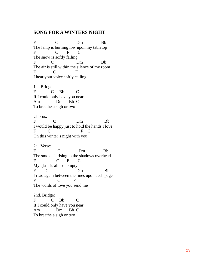### **SONG FOR A WINTERS NIGHT**

F C Dm Bb The lamp is burning low upon my tabletop F C F C The snow is softly falling F C Dm Bb The air is still within the silence of my room F C F I hear your voice softly calling

1st. Bridge: F C Bb C If I could only have you near Am Dm Bb C To breathe a sigh or two

Chorus: F C Dm Bb I would be happy just to hold the hands I love F C F C On this winter's night with you

2nd. Verse: F C Dm Bb The smoke is rising in the shadows overhead F C F C My glass is almost empty F C Dm Bb I read again between the lines upon each page F C F The words of love you send me

2nd. Bridge: F C Bb C If I could only have you near Am Dm Bb C To breathe a sigh or two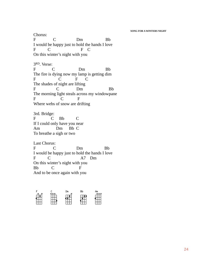**SONG FOR A WINTERS NIGHT**

Chorus: F C Dm Bb I would be happy just to hold the hands I love F C F C On this winter's night with you 3RD. Verse: F C Dm Bb The fire is dying now my lamp is getting dim F C F C The shades of night are lifting F C Dm Bb The morning light steals across my windowpane F C F Where webs of snow are drifting

3rd. Bridge: F C Bb C If I could only have you near Am Dm Bb C To breathe a sigh or two

Last Chorus: F C Dm Bb I would be happy just to hold the hands I love F C A7 Dm On this winter's night with you Bb C F And to be once again with you

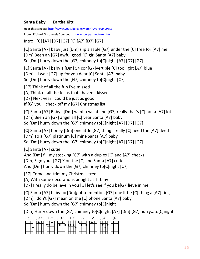#### Santa Baby **Eartha Kitt**

Hear this song at: http://www.youtube.com/watch?v=g7T0IK99ELs

From: Richard G's Ukulele Songbook www.scorpex.net/uke.htm

Intro: [C] [A7] [D7] [G7] [C] [A7] [D7] [G7]

[C] Santa [A7] baby just [Dm] slip a sable [G7] under the [C] tree for [A7] me [Dm] Been an [G7] awful good [C] girl Santa [A7] baby So [Dm] hurry down the [G7] chimney to[C]night [A7] [D7] [G7]

[C] Santa [A7] baby a [Dm] 54 con[G7] vertible [C] too light [A7] blue [Dm] I'll wait [G7] up for you dear [C] Santa [A7] baby So [Dm] hurry down the [G7] chimney to [C] night [C7]

[E7] Think of all the fun I've missed

[A] Think of all the fellas that I haven't kissed

[D7] Next year I could be just as good

If [G] you'll check off my [G7] Christmas list

[C] Santa [A7] Baby I [Dm] want a yacht and [G7] really that's [C] not a [A7] lot [Dm] Been an [G7] angel all [C] year Santa [A7] baby So [Dm] hurry down the [G7] chimney to [C] night [A7] [D7] [G7]

[C] Santa [A7] honey [Dm] one little [G7] thing I really [C] need the [A7] deed [Dm] To a [G7] platinum [C] mine Santa [A7] baby So [Dm] hurry down the [G7] chimney to [C] night [A7] [D7] [G7]

[C] Santa [A7] cutie

And [Dm] fill my stocking [G7] with a duplex [C] and [A7] checks

[Dm] Sign your [G7] X on the [C] line Santa [A7] cutie

And [Dm] hurry down the [G7] chimney to [C] night [C7]

[E7] Come and trim my Christmas tree

[A] With some decorations bought at Tiffany

[D7] I really do believe in you [G] let's see if you be[G7] lieve in me

[C] Santa [A7] baby for [Dm] got to mention [G7] one little [C] thing a [A7] ring [Dm] I don't [G7] mean on the [C] phone Santa [A7] baby So [Dm] hurry down the [G7] chimney to [C] night

[Dm] Hurry down the [G7] chimney to [C]night [A7] [Dm] [G7] hurry...to [C]night

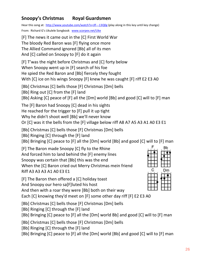#### **Snoopy's Christmas Roval Guardsmen**

Hear this song at: http://www.youtube.com/watch?v=JIf---13Q0g (play along in this key until key change) From: Richard G's Ukulele Songbook www.scorpex.net/Uke [F] The news it came out in the [C] First World War The bloody Red Baron was [F] flying once more The Allied Command ignored [Bb] all of its men And [C] called on Snoopy to [F] do it again [F] T'was the night before Christmas and [C] forty below When Snoopy went up in [F] search of his foe He spied the Red Baron and [Bb] fiercely they fought With [C] ice on his wings Snoopy [F] knew he was caught [F] riff E2 E3 A0 [Bb] Christmas [C] bells those [F] Christmas [Dm] bells [Bb] Ring out [C] from the [F] land [Bb] Asking [C] peace of [F] all the [Dm] world [Bb] and good [C] will to [F] man The [F] Baron had Snoopy [C] dead in his sights He reached for the trigger to  $[F]$  pull it up tight Why he didn't shoot well [Bb] we'll never know Or [C] was it the bells from the [F] village below riff A8 A7 A5 A3 A1 A0 E3 E1 [Bb] Christmas [C] bells those [F] Christmas [Dm] bells [Bb] Ringing [C] through the [F] land [Bb] Bringing [C] peace to [F] all the [Dm] world [Bb] and good [C] will to [F] man Bb [F] The Baron made Snoopy [C] fly to the Rhine And forced him to land behind the [F] enemy lines Snoopy was certain that [Bb] this was the end When the [C] Baron cried out Merry Christmas mein friend Riff A3 A3 A3 A1 A0 E3 E1 [F] The Baron then offered a [C] holiday toast And Snoopy our hero sa[F] luted his host And then with a roar they were [Bb] both on their way Each [C] knowing they'd meet on [F] some other day riff [F] E2 E3 A0 [Bb] Christmas [C] bells those [F] Christmas [Dm] bells [Bb] Ringing [C] through the [F] land [Bb] Bringing [C] peace to [F] all the [Dm] world Bb] and good [C] will to [F] man [Bb] Christmas [C] bells those [F] Christmas [Dm] bells [Bb] Ringing [C] through the [F] land [Bb] Bringing [C] peace to [F] all the [Dm] world [Bb] and good [C] will to [F] man

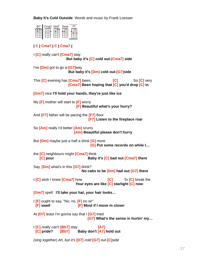**Baby It's Cold Outside** Words and music by Frank Loesser

Cmaj7 Gm7 Dmin  $B<sub>b</sub>7$ F7 **| C | Cma7 | C | Cma7 |** I **[C]** really can't **[Cma7]** stay **But baby it's [C] cold out-[Cma7] side** I've **[Dm]** got to go a-**[G7]**way **But baby it's [Dm] cold out-[G7]side** This **[C]** evening has **[Cma7]** been, **[C]** So **[C]** very **[Cma7] Been hoping that [C] you'd drop [C] in [Gm7]** nice **I'll hold your hands, they're just like ice** My **[F]** mother will start to **[F]** worry **[F] Beautiful what's your hurry?** And **[F7]** father will be pacing the **[F7]** floor **[F7] Listen to the fireplace roar** So **[Am]** really I'd better **[Am]** scurry **[Am] Beautiful please don't hurry** But **[Dm]** maybe just a half a drink **[G]** more **[G] Put some records on while I…**  the **[C]** neighbours might **[Cma7]** think **[C] pour Baby it's [C] bad out [Cma7] there** Say, **[Dm]** what's in this **[G7]** drink? **No cabs to be [Dm] had out [G7] there** I **[C]** wish I knew **[Cma7]** how **[C]** To **[C]** break the **Your eyes are like [C] starlight [C] now [Gm7]** spell **I'll take your hat, your hair looks…**  I **[F]** ought to say, "No, no, **[F]** no sir"  **[F] swell [F] Mind if I move in closer** At **[D7]** least I'm gonna say that I **[G7]** tried  **[G7] What's the sense in hurtin' my…**  I **[C]** really can't **[Bb7]** stay **[A7] [C] pride? [Bb7] Baby don't [A7] hold out** *(sing together) Ah, but it's* **[D7]** *cold* **[G7]** *out-***[C]***side*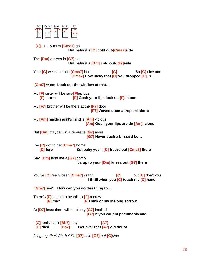| R. | Cmaj7 | Gm7 | Dmin |  |
|----|-------|-----|------|--|
|    |       |     |      |  |

I **[C]** simply must **[Cma7]** go **But baby it's [C] cold out-[Cma7]side** The **[Dm]** answer is **[G7]** no **But baby it's [Dm] cold out-[G7]side** Your **[C]** welcome has **[Cma7]** been **[C]** So **[C]** nice and **[Cma7] How lucky that [C] you dropped [C] in [Gm7]** warm **Look out the window at that…**  My **[F]** sister will be sus-**[F]**picious  **[F] storm [F] Gosh your lips look de-[F]licious** My **[F7]** brother will be there at the **[F7]** door  **[F7] Waves upon a tropical shore** My **[Am]** maiden aunt's mind is **[Am]** vicious  **[Am] Gosh your lips are de-[Am]licious** But **[Dm]** maybe just a cigarette **[G7]** more  **[G7] Never such a blizzard be…** I've **[C]** got to get **[Cma7]** home **[C]** fore **But baby you'll [C]** freeze out **[Cma7]** there Say, **[Dm]** lend me a **[G7]** comb **It's up to your [Dm] knees out [G7] there** You've **[C]** really been **[Cma7]** grand **[C]** but **[C]** don't you **I thrill when you [C] touch my [C] hand [Gm7]** see? **How can you do this thing to…**  There's **[F]** bound to be talk to-**[F]**morrow  **[F] me? [F]Think of my lifelong sorrow** At **[D7]** least there will be plenty **[G7]** implied **[G7] If you caught pneumonia and…**  I **[C]** really can't **[Bb7]** stay **[A7] [C] died [Bb7] Get over that [A7] old doubt**

*(sing together) Ah, but it's* **[D7]** *cold* **[G7]** *out-***[C]***side*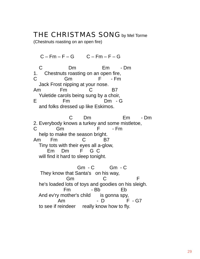# THE CHRISTMAS SONG by Mel Torme

(Chestnuts roasting on an open fire)

 $C - Fm - F - G$   $C - Fm - F - G$  C Dm Em - Dm 1. Chestnuts roasting on an open fire, C Gm F - Fm Jack Frost nipping at your nose. Am Fm C B7 Yuletide carols being sung by a choir, E Fm Dm - G and folks dressed up like Eskimos. C Dm Em - Dm 2. Everybody knows a turkey and some mistletoe, C Gm F - Fm help to make the season bright. Am Fm C B7 Tiny tots with their eyes all a-glow, Em Dm F G C will find it hard to sleep tonight. Gm - C Gm - C They know that Santa's on his way, **GM** C F he's loaded lots of toys and goodies on his sleigh. en a Fm a - Bb eb Eb

And ev'ry mother's child is gonna spy, Am - D F - G7 to see if reindeer really know how to fly.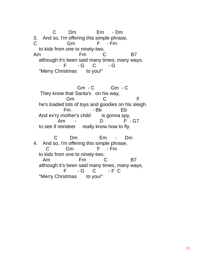C Dm Em - Dm 3. And so, I'm offering this simple phrase, C Gm F - Fm to kids from one to ninety-two, Am Fm C B7 although it's been said many times, many ways, F - G C - G "Merry Christmas to you!"

 Gm - C Gm - C They know that Santa's on his way, **GM** C F he's loaded lots of toys and goodies on his sleigh. en a Fm a b - Bb - Eb And ev'ry mother's child is gonna spy, Am - D F - G7 to see if reindeer really know how to fly.

 C Dm Em - Dm 4. And so, I'm offering this simple phrase, C Gm F - Fm to kids from one to ninety-two, Am Fm C B7 although it's been said many times, many ways, F - G C - F C "Merry Christmas to you!"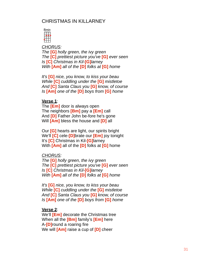## CHRISTMAS IN KILLARNEY



*CHORUS:*

*The* **[G]** *holly green, the ivy green The* **[C]** *prettiest picture you've* **[G]** *ever seen Is* **[C]** *Christmas in Kil-***[G]***larney With* **[Am]** *all of the* **[D]** *folks at* **[G]** *home*

*It's* **[G]** *nice, you know, to kiss your beau While* **[C]** *cuddling under the* **[G]** *mistletoe And* **[C]** *Santa Claus you* **[G]** *know, of course Is* **[Am]** *one of the* **[D]** *boys from* **[G]** *home*

### **Verse 1**:

The **[Em]** door is always open The neighbors **[Bm]** pay a **[Em]** call And **[D]** Father John be-fore he's gone Will **[Am]** bless the house and **[D]** all

Our **[G]** hearts are light, our spirits bright We'll **[C]** cele-**[D]**brate our **[Em]** joy tonight It's **[C]** Christmas in Kil-**[G]**larney With **[Am]** all of the **[D]** folks at **[G]** home

*CHORUS:*

*The* **[G]** *holly green, the ivy green The* **[C]** *prettiest picture you've* **[G]** *ever seen Is* **[C]** *Christmas in Kil-***[G]***larney With* **[Am]** *all of the* **[D]** *folks at* **[G]** *home*

*It's* **[G]** *nice, you know, to kiss your beau While* **[C]** *cuddling under the* **[G]** *mistletoe And* **[C]** *Santa Claus you* **[G]** *know, of course Is* **[Am]** *one of the* **[D]** *boys from* **[G]** *home*

### **Verse 2**:

We'll **[Em]** decorate the Christmas tree When all the **[Bm]** family's **[Em]** here A-**[D]**round a roaring fire We will **[Am]** raise a cup of **[D]** cheer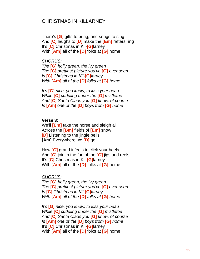### CHRISTMAS IN KILLARNEY

There's **[G]** gifts to bring, and songs to sing And **[C]** laughs to **[D]** make the **[Em]** rafters ring It's **[C]** Christmas in Kil-**[G]**larney With **[Am]** all of the **[D]** folks at **[G]** home

*CHORUS:*

*The* **[G]** *holly green, the ivy green The* **[C]** *prettiest picture you've* **[G]** *ever seen Is* **[C]** *Christmas in Kil-***[G]***larney With* **[Am]** *all of the* **[D]** *folks at* **[G]** *home*

*It's* **[G]** *nice, you know, to kiss your beau While* **[C]** *cuddling under the* **[G]** *mistletoe And* **[C]** *Santa Claus you* **[G]** *know, of course Is* **[Am]** *one of the* **[D]** *boys from* **[G]** *home*

### **Verse 3**:

We'll **[Em]** take the horse and sleigh all Across the **[Bm]** fields of **[Em]** snow **[D]** Listening to the jingle bells **[Am]** Everywhere we **[D]** go

How **[G]** grand it feels to click your heels And **[C]** join in the fun of the **[G]** jigs and reels It's **[C]** Christmas in Kil-**[G]**larney With **[Am]** all of the **[D]** folks at **[G]** home

*CHORUS: The* **[G]** *holly green, the ivy green The* **[C]** *prettiest picture you've* **[G]** *ever seen*

*Is* **[C]** *Christmas in Kil-***[G]***larney With* **[Am]** *all of the* **[D]** *folks at* **[G]** *home*

*It's* **[G]** *nice, you know, to kiss your beau While* **[C]** *cuddling under the* **[G]** *mistletoe And* **[C]** *Santa Claus you* **[G]** *know, of course Is* **[Am]** *one of the* **[D]** *boys from* **[G]** *home* It's **[C]** Christmas in Kil-**[G]**larney With **[Am]** all of the **[D]** folks at **[G]** home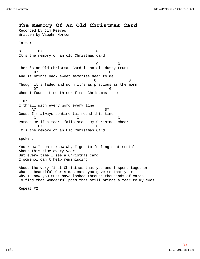## The Memory Of An Old Christmas Card

Recorded by Jim Reeves Written by Vaughn Horton

Intro:

G D7 G It's the memory of an old Christmas card

 C G There's an Old Christmas Card in an old dusty trunk D7 G And it brings back sweet memories dear to me C G Though it's faded and worn it's as precious as the morn D7 G When I found it neath our first Christmas tree D7 G I thrill with every word every line A7 D7 Guess I'm always sentimental round this time G C G Pardon me if a tear falls among my Christmas cheer D7 G It's the memory of an Old Christmas Card

spoken:

You know I don't know why I get to feeling sentimental About this time every year But every time I see a Christmas card I somehow can't help reminiscing

About the very first Christmas that you and I spent together What a beautiful Christmas card you gave me that year Why I know you must have looked through thousands of cards To find that wonderful poem that still brings a tear to my eyes

Repeat #2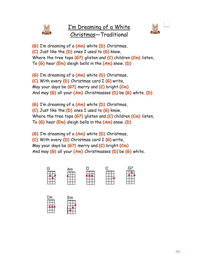

# I'm Dreaming of a White Christmas-Traditional



(G) I'm dreaming of a (Am) white (D) Christmas, (C) Just like the (D) ones I used to (G) know, Where the tree tops  $(G7)$  glisten and  $(C)$  children  $(Cm)$  listen, To  $(G)$  hear  $(Em)$  sleigh bells in the  $(Am)$  snow.  $(D)$ 

(G) I'm dreaming of a (Am) white (D) Christmas, (C) With every (D) Christmas card I (G) write, May your days be (G7) merry and (C) bright (Cm) And may  $(G)$  all your  $(Am)$  Christmasses  $(D)$  be  $(G)$  white.  $(D)$ 

(G) I'm dreaming of a (Am) white (D) Christmas, (C) Just like the (D) ones I used to (G) know, Where the tree tops  $(G7)$  glisten and  $(C)$  children  $(Cm)$  listen, To  $(G)$  hear  $(Em)$  sleigh bells in the  $(Am)$  snow.  $(D)$ 

(G) I'm dreaming of a (Am) white (D) Christmas, (C) With every (D) Christmas card I (G) write, May your days be  $(G7)$  merry and  $(C)$  bright  $(Cm)$ And may  $(G)$  all your  $(Am)$  Christmasses  $(D)$  be  $(G)$  white.





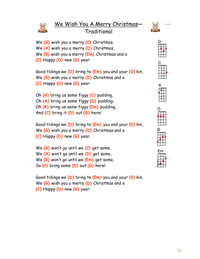# We Wish You A Merry Christmas-**Traditional**



We  $(G)$  wish you a merry  $(C)$  Christmas, We (A) wish you a merry (D) Christmas, We (B) wish you a merry (Em) Christmas and a  $(C)$  Happy  $(D)$  new  $(G)$  year.

Good tidings we (D) bring to (Em) you and your (D) kin, We (G) wish you a merry (D) Christmas and a  $(C)$  Happy  $(D)$  new  $(G)$  year.

Oh  $(G)$  bring us some figgy  $(C)$  pudding, Oh (A) bring us some figgy (D) pudding, Oh (B) bring us some figgy (Em) pudding, And  $(C)$  bring it  $(D)$  out  $(G)$  here!

Good tidings we (D) bring to (Em) you and your (D) kin, We (G) wish you a merry (D) Christmas and a  $(C)$  Happy  $(D)$  new  $(G)$  year.

We  $(G)$  won't go until we  $(C)$  get some, We  $(A)$  won't go until we  $(D)$  get some, We (B) won't go until we (Em) get some, So  $(C)$  bring some  $(D)$  out  $(G)$  here!

Good tidings we (D) bring to (Em) you and your (D) kin, We  $(G)$  wish you a merry  $(D)$  Christmas and a  $(C)$  Happy  $(D)$  new  $(G)$  year.